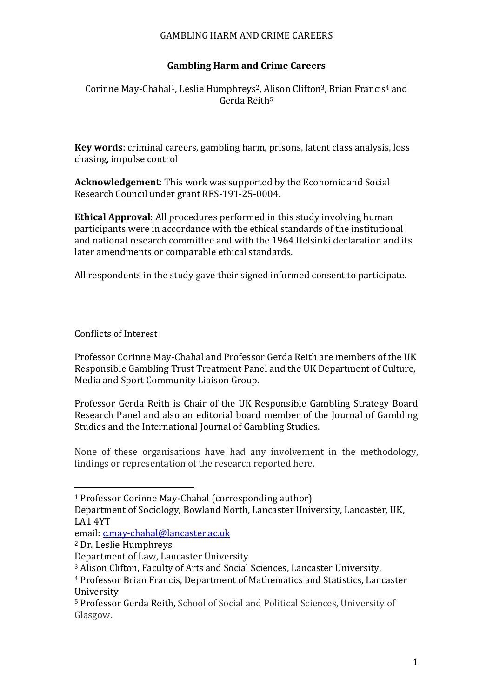# **Gambling Harm and Crime Careers**

Corinne May-Chahal<sup>1</sup>, Leslie Humphreys<sup>2</sup>, Alison Clifton<sup>3</sup>, Brian Francis<sup>4</sup> and Gerda Reith<sup>5</sup>

**Key words**: criminal careers, gambling harm, prisons, latent class analysis, loss chasing, impulse control

**Acknowledgement**: This work was supported by the Economic and Social Research Council under grant RES-191-25-0004.

**Ethical Approval**: All procedures performed in this study involving human participants were in accordance with the ethical standards of the institutional and national research committee and with the 1964 Helsinki declaration and its later amendments or comparable ethical standards.

All respondents in the study gave their signed informed consent to participate.

Conflicts of Interest

Professor Corinne May-Chahal and Professor Gerda Reith are members of the UK Responsible Gambling Trust Treatment Panel and the UK Department of Culture, Media and Sport Community Liaison Group.

Professor Gerda Reith is Chair of the UK Responsible Gambling Strategy Board Research Panel and also an editorial board member of the Journal of Gambling Studies and the International Journal of Gambling Studies.

None of these organisations have had any involvement in the methodology, findings or representation of the research reported here.

 $\overline{a}$ 

<sup>1</sup> Professor Corinne May-Chahal (corresponding author)

Department of Sociology, Bowland North, Lancaster University, Lancaster, UK, LA1 4YT

email: [c.may-chahal@lancaster.ac.uk](mailto:c.may-chahal@lancaster.ac.uk)

<sup>2</sup> Dr. Leslie Humphreys

Department of Law, Lancaster University

<sup>3</sup> Alison Clifton, Faculty of Arts and Social Sciences, Lancaster University,

<sup>4</sup> Professor Brian Francis, Department of Mathematics and Statistics, Lancaster University

<sup>5</sup> Professor Gerda Reith, School of Social and Political Sciences, University of Glasgow.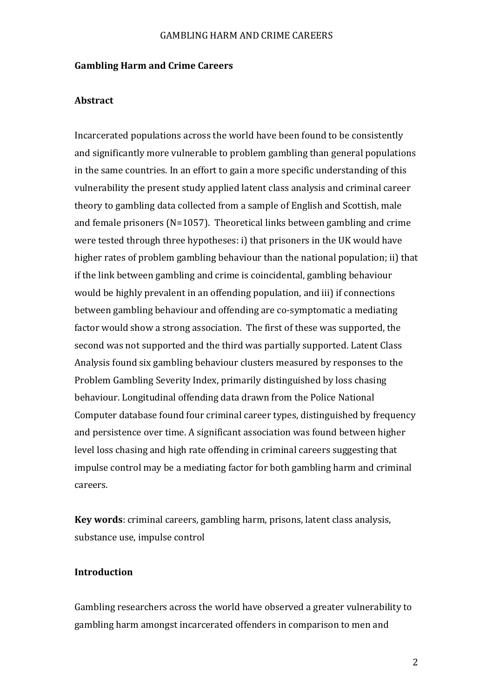#### **Gambling Harm and Crime Careers**

#### **Abstract**

Incarcerated populations across the world have been found to be consistently and significantly more vulnerable to problem gambling than general populations in the same countries. In an effort to gain a more specific understanding of this vulnerability the present study applied latent class analysis and criminal career theory to gambling data collected from a sample of English and Scottish, male and female prisoners (N=1057). Theoretical links between gambling and crime were tested through three hypotheses: i) that prisoners in the UK would have higher rates of problem gambling behaviour than the national population; ii) that if the link between gambling and crime is coincidental, gambling behaviour would be highly prevalent in an offending population, and iii) if connections between gambling behaviour and offending are co-symptomatic a mediating factor would show a strong association. The first of these was supported, the second was not supported and the third was partially supported. Latent Class Analysis found six gambling behaviour clusters measured by responses to the Problem Gambling Severity Index, primarily distinguished by loss chasing behaviour. Longitudinal offending data drawn from the Police National Computer database found four criminal career types, distinguished by frequency and persistence over time. A significant association was found between higher level loss chasing and high rate offending in criminal careers suggesting that impulse control may be a mediating factor for both gambling harm and criminal careers.

**Key words**: criminal careers, gambling harm, prisons, latent class analysis, substance use, impulse control

## **Introduction**

Gambling researchers across the world have observed a greater vulnerability to gambling harm amongst incarcerated offenders in comparison to men and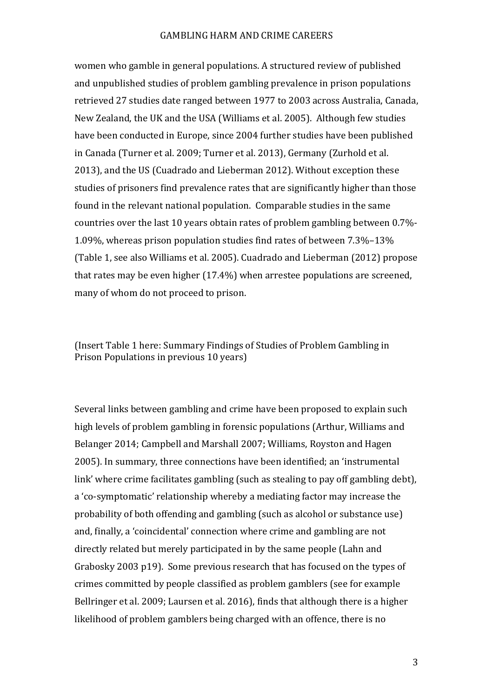women who gamble in general populations. A structured review of published and unpublished studies of problem gambling prevalence in prison populations retrieved 27 studies date ranged between 1977 to 2003 across Australia, Canada, New Zealand, the UK and the USA (Williams et al. 2005). Although few studies have been conducted in Europe, since 2004 further studies have been published in Canada (Turner et al. 2009; Turner et al. 2013), Germany (Zurhold et al. 2013), and the US (Cuadrado and Lieberman 2012). Without exception these studies of prisoners find prevalence rates that are significantly higher than those found in the relevant national population. Comparable studies in the same countries over the last 10 years obtain rates of problem gambling between 0.7%- 1.09%, whereas prison population studies find rates of between 7.3%–13% (Table 1, see also Williams et al. 2005). Cuadrado and Lieberman (2012) propose that rates may be even higher (17.4%) when arrestee populations are screened, many of whom do not proceed to prison.

(Insert Table 1 here: Summary Findings of Studies of Problem Gambling in Prison Populations in previous 10 years)

Several links between gambling and crime have been proposed to explain such high levels of problem gambling in forensic populations (Arthur, Williams and Belanger 2014; Campbell and Marshall 2007; Williams, Royston and Hagen 2005). In summary, three connections have been identified; an 'instrumental link' where crime facilitates gambling (such as stealing to pay off gambling debt), a 'co-symptomatic' relationship whereby a mediating factor may increase the probability of both offending and gambling (such as alcohol or substance use) and, finally, a 'coincidental' connection where crime and gambling are not directly related but merely participated in by the same people (Lahn and Grabosky 2003 p19). Some previous research that has focused on the types of crimes committed by people classified as problem gamblers (see for example Bellringer et al. 2009; Laursen et al. 2016), finds that although there is a higher likelihood of problem gamblers being charged with an offence, there is no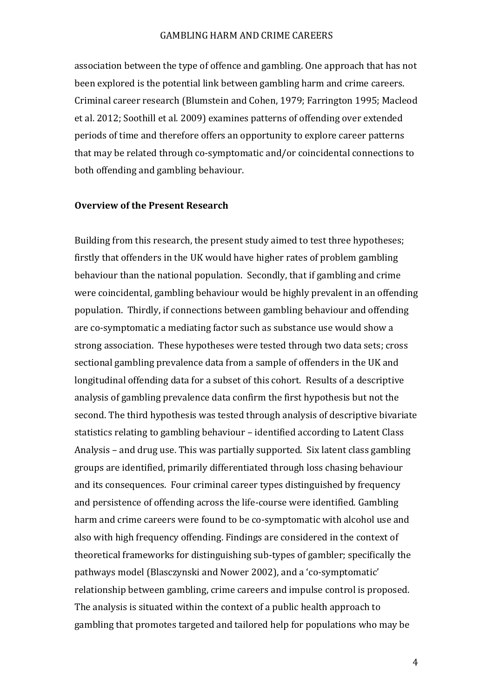association between the type of offence and gambling. One approach that has not been explored is the potential link between gambling harm and crime careers. Criminal career research (Blumstein and Cohen, 1979; Farrington 1995; Macleod et al. 2012; Soothill et al. 2009) examines patterns of offending over extended periods of time and therefore offers an opportunity to explore career patterns that may be related through co-symptomatic and/or coincidental connections to both offending and gambling behaviour.

### **Overview of the Present Research**

Building from this research, the present study aimed to test three hypotheses; firstly that offenders in the UK would have higher rates of problem gambling behaviour than the national population. Secondly, that if gambling and crime were coincidental, gambling behaviour would be highly prevalent in an offending population. Thirdly, if connections between gambling behaviour and offending are co-symptomatic a mediating factor such as substance use would show a strong association. These hypotheses were tested through two data sets; cross sectional gambling prevalence data from a sample of offenders in the UK and longitudinal offending data for a subset of this cohort. Results of a descriptive analysis of gambling prevalence data confirm the first hypothesis but not the second. The third hypothesis was tested through analysis of descriptive bivariate statistics relating to gambling behaviour – identified according to Latent Class Analysis – and drug use. This was partially supported. Six latent class gambling groups are identified, primarily differentiated through loss chasing behaviour and its consequences. Four criminal career types distinguished by frequency and persistence of offending across the life-course were identified. Gambling harm and crime careers were found to be co-symptomatic with alcohol use and also with high frequency offending. Findings are considered in the context of theoretical frameworks for distinguishing sub-types of gambler; specifically the pathways model (Blasczynski and Nower 2002), and a 'co-symptomatic' relationship between gambling, crime careers and impulse control is proposed. The analysis is situated within the context of a public health approach to gambling that promotes targeted and tailored help for populations who may be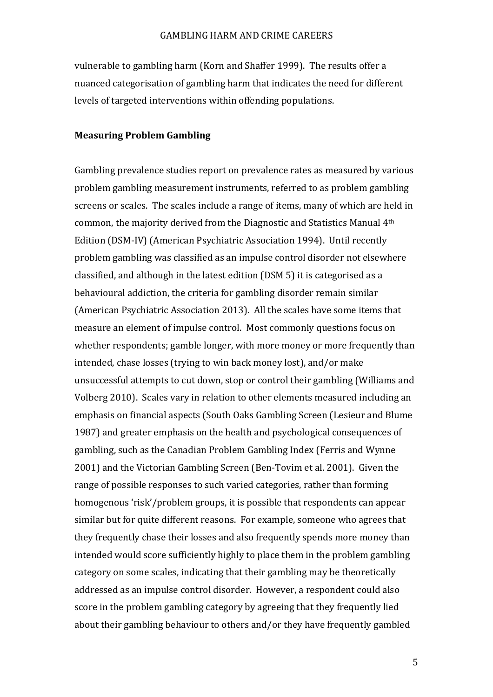vulnerable to gambling harm (Korn and Shaffer 1999). The results offer a nuanced categorisation of gambling harm that indicates the need for different levels of targeted interventions within offending populations.

### **Measuring Problem Gambling**

Gambling prevalence studies report on prevalence rates as measured by various problem gambling measurement instruments, referred to as problem gambling screens or scales. The scales include a range of items, many of which are held in common, the majority derived from the Diagnostic and Statistics Manual 4th Edition (DSM-IV) (American Psychiatric Association 1994). Until recently problem gambling was classified as an impulse control disorder not elsewhere classified, and although in the latest edition (DSM 5) it is categorised as a behavioural addiction, the criteria for gambling disorder remain similar (American Psychiatric Association 2013). All the scales have some items that measure an element of impulse control. Most commonly questions focus on whether respondents; gamble longer, with more money or more frequently than intended, chase losses (trying to win back money lost), and/or make unsuccessful attempts to cut down, stop or control their gambling (Williams and Volberg 2010). Scales vary in relation to other elements measured including an emphasis on financial aspects (South Oaks Gambling Screen (Lesieur and Blume 1987) and greater emphasis on the health and psychological consequences of gambling, such as the Canadian Problem Gambling Index (Ferris and Wynne 2001) and the Victorian Gambling Screen (Ben-Tovim et al. 2001). Given the range of possible responses to such varied categories, rather than forming homogenous 'risk'/problem groups, it is possible that respondents can appear similar but for quite different reasons. For example, someone who agrees that they frequently chase their losses and also frequently spends more money than intended would score sufficiently highly to place them in the problem gambling category on some scales, indicating that their gambling may be theoretically addressed as an impulse control disorder. However, a respondent could also score in the problem gambling category by agreeing that they frequently lied about their gambling behaviour to others and/or they have frequently gambled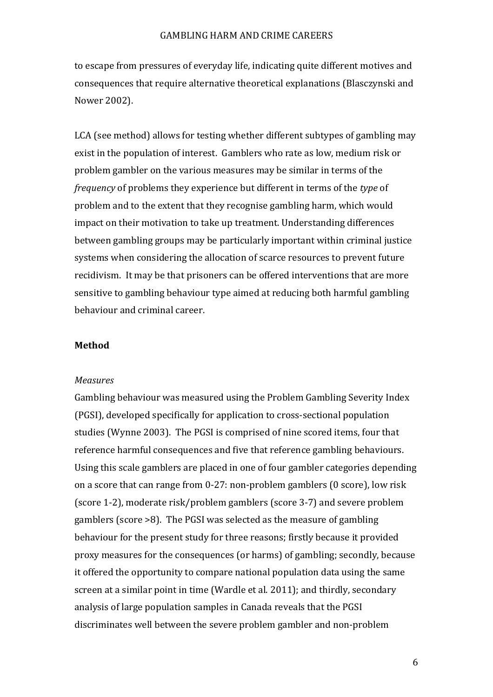to escape from pressures of everyday life, indicating quite different motives and consequences that require alternative theoretical explanations (Blasczynski and Nower 2002).

LCA (see method) allows for testing whether different subtypes of gambling may exist in the population of interest. Gamblers who rate as low, medium risk or problem gambler on the various measures may be similar in terms of the *frequency* of problems they experience but different in terms of the *type* of problem and to the extent that they recognise gambling harm, which would impact on their motivation to take up treatment. Understanding differences between gambling groups may be particularly important within criminal justice systems when considering the allocation of scarce resources to prevent future recidivism. It may be that prisoners can be offered interventions that are more sensitive to gambling behaviour type aimed at reducing both harmful gambling behaviour and criminal career.

#### **Method**

#### *Measures*

Gambling behaviour was measured using the Problem Gambling Severity Index (PGSI), developed specifically for application to cross-sectional population studies (Wynne 2003). The PGSI is comprised of nine scored items, four that reference harmful consequences and five that reference gambling behaviours. Using this scale gamblers are placed in one of four gambler categories depending on a score that can range from 0-27: non-problem gamblers (0 score), low risk (score 1-2), moderate risk/problem gamblers (score 3-7) and severe problem gamblers (score >8). The PGSI was selected as the measure of gambling behaviour for the present study for three reasons; firstly because it provided proxy measures for the consequences (or harms) of gambling; secondly, because it offered the opportunity to compare national population data using the same screen at a similar point in time (Wardle et al. 2011); and thirdly, secondary analysis of large population samples in Canada reveals that the PGSI discriminates well between the severe problem gambler and non-problem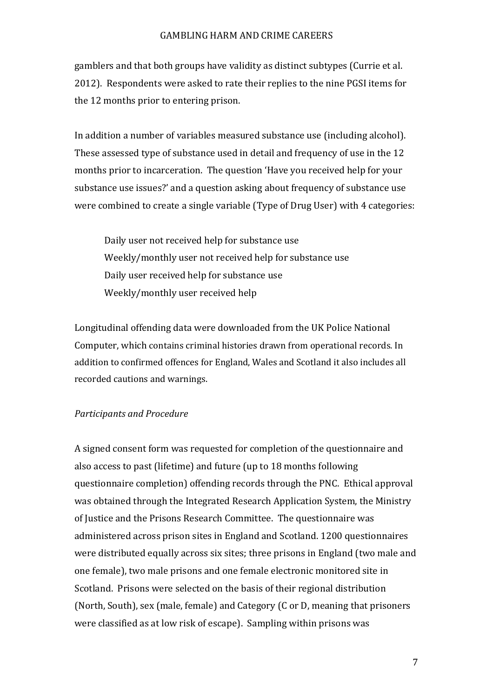gamblers and that both groups have validity as distinct subtypes (Currie et al. 2012). Respondents were asked to rate their replies to the nine PGSI items for the 12 months prior to entering prison.

In addition a number of variables measured substance use (including alcohol). These assessed type of substance used in detail and frequency of use in the 12 months prior to incarceration. The question 'Have you received help for your substance use issues?' and a question asking about frequency of substance use were combined to create a single variable (Type of Drug User) with 4 categories:

Daily user not received help for substance use Weekly/monthly user not received help for substance use Daily user received help for substance use Weekly/monthly user received help

Longitudinal offending data were downloaded from the UK Police National Computer, which contains criminal histories drawn from operational records. In addition to confirmed offences for England, Wales and Scotland it also includes all recorded cautions and warnings.

## *Participants and Procedure*

A signed consent form was requested for completion of the questionnaire and also access to past (lifetime) and future (up to 18 months following questionnaire completion) offending records through the PNC. Ethical approval was obtained through the Integrated Research Application System, the Ministry of Justice and the Prisons Research Committee. The questionnaire was administered across prison sites in England and Scotland. 1200 questionnaires were distributed equally across six sites; three prisons in England (two male and one female), two male prisons and one female electronic monitored site in Scotland. Prisons were selected on the basis of their regional distribution (North, South), sex (male, female) and Category (C or D, meaning that prisoners were classified as at low risk of escape). Sampling within prisons was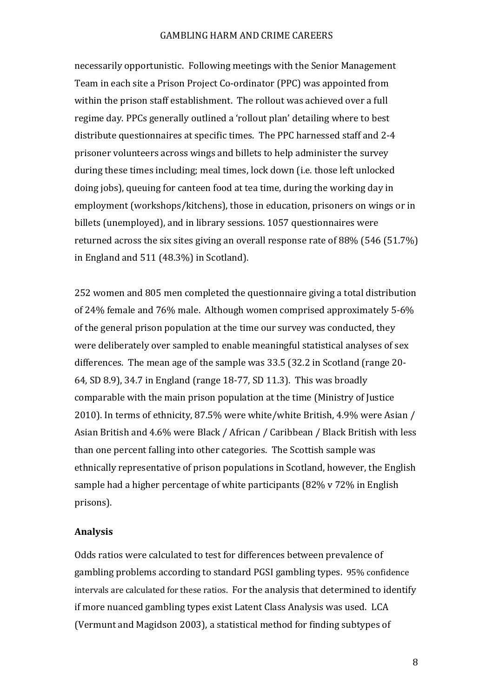necessarily opportunistic. Following meetings with the Senior Management Team in each site a Prison Project Co-ordinator (PPC) was appointed from within the prison staff establishment. The rollout was achieved over a full regime day. PPCs generally outlined a 'rollout plan' detailing where to best distribute questionnaires at specific times. The PPC harnessed staff and 2-4 prisoner volunteers across wings and billets to help administer the survey during these times including; meal times, lock down (i.e. those left unlocked doing jobs), queuing for canteen food at tea time, during the working day in employment (workshops/kitchens), those in education, prisoners on wings or in billets (unemployed), and in library sessions. 1057 questionnaires were returned across the six sites giving an overall response rate of 88% (546 (51.7%) in England and 511 (48.3%) in Scotland).

252 women and 805 men completed the questionnaire giving a total distribution of 24% female and 76% male. Although women comprised approximately 5-6% of the general prison population at the time our survey was conducted, they were deliberately over sampled to enable meaningful statistical analyses of sex differences. The mean age of the sample was 33.5 (32.2 in Scotland (range 20- 64, SD 8.9), 34.7 in England (range 18-77, SD 11.3). This was broadly comparable with the main prison population at the time (Ministry of Justice 2010). In terms of ethnicity, 87.5% were white/white British, 4.9% were Asian / Asian British and 4.6% were Black / African / Caribbean / Black British with less than one percent falling into other categories. The Scottish sample was ethnically representative of prison populations in Scotland, however, the English sample had a higher percentage of white participants (82% v 72% in English prisons).

#### **Analysis**

Odds ratios were calculated to test for differences between prevalence of gambling problems according to standard PGSI gambling types. 95% confidence intervals are calculated for these ratios. For the analysis that determined to identify if more nuanced gambling types exist Latent Class Analysis was used. LCA (Vermunt and Magidson 2003), a statistical method for finding subtypes of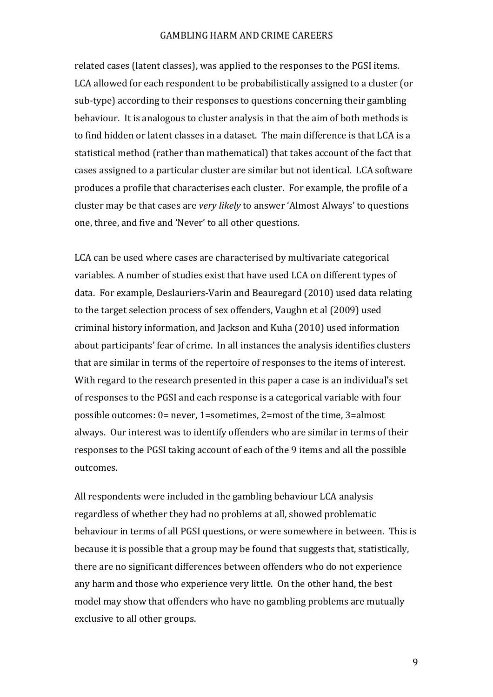related cases (latent classes), was applied to the responses to the PGSI items. LCA allowed for each respondent to be probabilistically assigned to a cluster (or sub-type) according to their responses to questions concerning their gambling behaviour. It is analogous to cluster analysis in that the aim of both methods is to find hidden or latent classes in a dataset. The main difference is that LCA is a statistical method (rather than mathematical) that takes account of the fact that cases assigned to a particular cluster are similar but not identical. LCA software produces a profile that characterises each cluster. For example, the profile of a cluster may be that cases are *very likely* to answer 'Almost Always' to questions one, three, and five and 'Never' to all other questions.

LCA can be used where cases are characterised by multivariate categorical variables. A number of studies exist that have used LCA on different types of data. For example, Deslauriers-Varin and Beauregard (2010) used data relating to the target selection process of sex offenders, Vaughn et al (2009) used criminal history information, and Jackson and Kuha (2010) used information about participants' fear of crime. In all instances the analysis identifies clusters that are similar in terms of the repertoire of responses to the items of interest. With regard to the research presented in this paper a case is an individual's set of responses to the PGSI and each response is a categorical variable with four possible outcomes: 0= never, 1=sometimes, 2=most of the time, 3=almost always. Our interest was to identify offenders who are similar in terms of their responses to the PGSI taking account of each of the 9 items and all the possible outcomes.

All respondents were included in the gambling behaviour LCA analysis regardless of whether they had no problems at all, showed problematic behaviour in terms of all PGSI questions, or were somewhere in between. This is because it is possible that a group may be found that suggests that, statistically, there are no significant differences between offenders who do not experience any harm and those who experience very little. On the other hand, the best model may show that offenders who have no gambling problems are mutually exclusive to all other groups.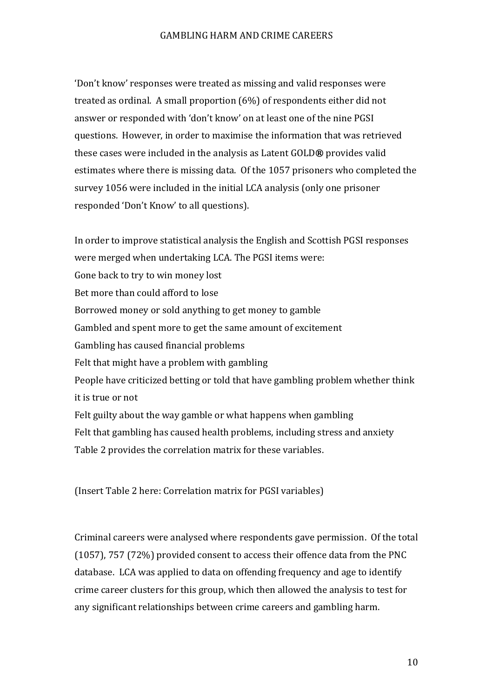'Don't know' responses were treated as missing and valid responses were treated as ordinal. A small proportion (6%) of respondents either did not answer or responded with 'don't know' on at least one of the nine PGSI questions. However, in order to maximise the information that was retrieved these cases were included in the analysis as Latent GOLD**®** provides valid estimates where there is missing data. Of the 1057 prisoners who completed the survey 1056 were included in the initial LCA analysis (only one prisoner responded 'Don't Know' to all questions).

In order to improve statistical analysis the English and Scottish PGSI responses were merged when undertaking LCA. The PGSI items were: Gone back to try to win money lost Bet more than could afford to lose Borrowed money or sold anything to get money to gamble Gambled and spent more to get the same amount of excitement Gambling has caused financial problems Felt that might have a problem with gambling People have criticized betting or told that have gambling problem whether think it is true or not Felt guilty about the way gamble or what happens when gambling Felt that gambling has caused health problems, including stress and anxiety Table 2 provides the correlation matrix for these variables.

(Insert Table 2 here: Correlation matrix for PGSI variables)

Criminal careers were analysed where respondents gave permission. Of the total (1057), 757 (72%) provided consent to access their offence data from the PNC database. LCA was applied to data on offending frequency and age to identify crime career clusters for this group, which then allowed the analysis to test for any significant relationships between crime careers and gambling harm.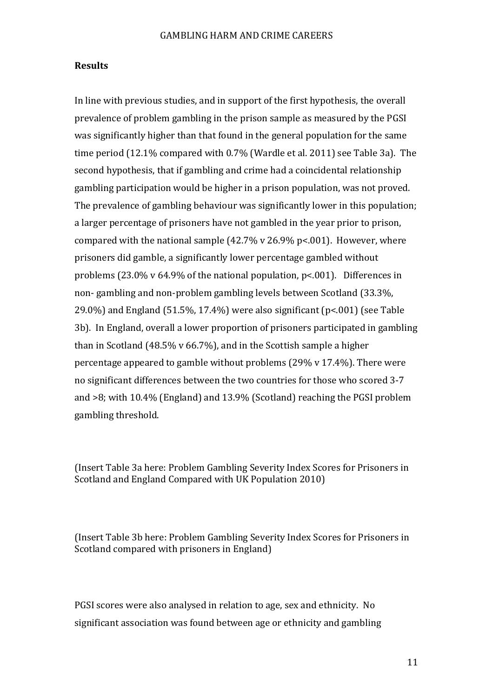#### **Results**

In line with previous studies, and in support of the first hypothesis, the overall prevalence of problem gambling in the prison sample as measured by the PGSI was significantly higher than that found in the general population for the same time period (12.1% compared with 0.7% (Wardle et al. 2011) see Table 3a). The second hypothesis, that if gambling and crime had a coincidental relationship gambling participation would be higher in a prison population, was not proved. The prevalence of gambling behaviour was significantly lower in this population; a larger percentage of prisoners have not gambled in the year prior to prison, compared with the national sample (42.7% v 26.9% p<.001). However, where prisoners did gamble, a significantly lower percentage gambled without problems (23.0% v 64.9% of the national population, p<.001). Differences in non- gambling and non-problem gambling levels between Scotland (33.3%, 29.0%) and England (51.5%, 17.4%) were also significant (p<.001) (see Table 3b). In England, overall a lower proportion of prisoners participated in gambling than in Scotland (48.5% v 66.7%), and in the Scottish sample a higher percentage appeared to gamble without problems (29% v 17.4%). There were no significant differences between the two countries for those who scored 3-7 and >8; with 10.4% (England) and 13.9% (Scotland) reaching the PGSI problem gambling threshold.

(Insert Table 3a here: Problem Gambling Severity Index Scores for Prisoners in Scotland and England Compared with UK Population 2010)

(Insert Table 3b here: Problem Gambling Severity Index Scores for Prisoners in Scotland compared with prisoners in England)

PGSI scores were also analysed in relation to age, sex and ethnicity. No significant association was found between age or ethnicity and gambling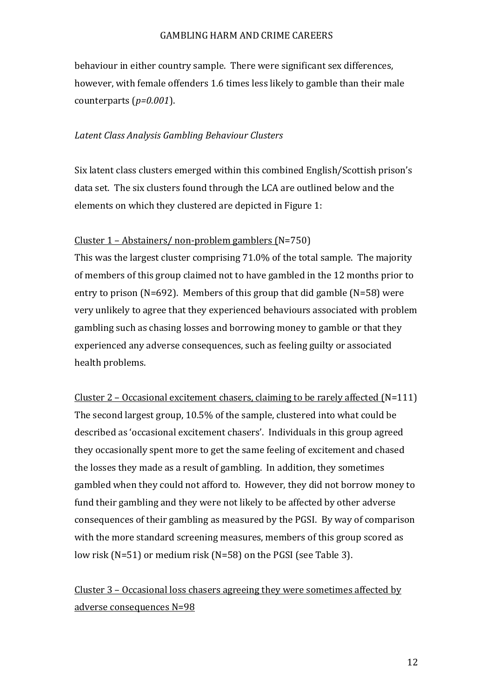behaviour in either country sample. There were significant sex differences, however, with female offenders 1.6 times less likely to gamble than their male counterparts (*p=0.001*).

### *Latent Class Analysis Gambling Behaviour Clusters*

Six latent class clusters emerged within this combined English/Scottish prison's data set. The six clusters found through the LCA are outlined below and the elements on which they clustered are depicted in Figure 1:

# Cluster 1 – Abstainers/ non-problem gamblers (N=750)

This was the largest cluster comprising 71.0% of the total sample. The majority of members of this group claimed not to have gambled in the 12 months prior to entry to prison (N=692). Members of this group that did gamble (N=58) were very unlikely to agree that they experienced behaviours associated with problem gambling such as chasing losses and borrowing money to gamble or that they experienced any adverse consequences, such as feeling guilty or associated health problems.

Cluster 2 – Occasional excitement chasers, claiming to be rarely affected  $(N=111)$ The second largest group, 10.5% of the sample, clustered into what could be described as 'occasional excitement chasers'. Individuals in this group agreed they occasionally spent more to get the same feeling of excitement and chased the losses they made as a result of gambling. In addition, they sometimes gambled when they could not afford to. However, they did not borrow money to fund their gambling and they were not likely to be affected by other adverse consequences of their gambling as measured by the PGSI. By way of comparison with the more standard screening measures, members of this group scored as low risk (N=51) or medium risk (N=58) on the PGSI (see Table 3).

Cluster 3 – Occasional loss chasers agreeing they were sometimes affected by adverse consequences N=98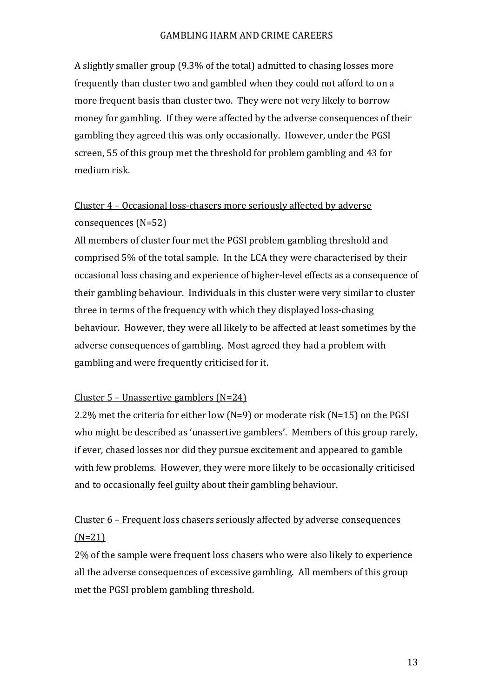A slightly smaller group (9.3% of the total) admitted to chasing losses more frequently than cluster two and gambled when they could not afford to on a more frequent basis than cluster two. They were not very likely to borrow money for gambling. If they were affected by the adverse consequences of their gambling they agreed this was only occasionally. However, under the PGSI screen, 55 of this group met the threshold for problem gambling and 43 for medium risk.

# Cluster 4 – Occasional loss-chasers more seriously affected by adverse consequences (N=52)

All members of cluster four met the PGSI problem gambling threshold and comprised 5% of the total sample. In the LCA they were characterised by their occasional loss chasing and experience of higher-level effects as a consequence of their gambling behaviour. Individuals in this cluster were very similar to cluster three in terms of the frequency with which they displayed loss-chasing behaviour. However, they were all likely to be affected at least sometimes by the adverse consequences of gambling. Most agreed they had a problem with gambling and were frequently criticised for it.

# Cluster 5 – Unassertive gamblers (N=24)

2.2% met the criteria for either low (N=9) or moderate risk (N=15) on the PGSI who might be described as 'unassertive gamblers'. Members of this group rarely, if ever, chased losses nor did they pursue excitement and appeared to gamble with few problems. However, they were more likely to be occasionally criticised and to occasionally feel guilty about their gambling behaviour.

# Cluster 6 – Frequent loss chasers seriously affected by adverse consequences (N=21)

2% of the sample were frequent loss chasers who were also likely to experience all the adverse consequences of excessive gambling. All members of this group met the PGSI problem gambling threshold.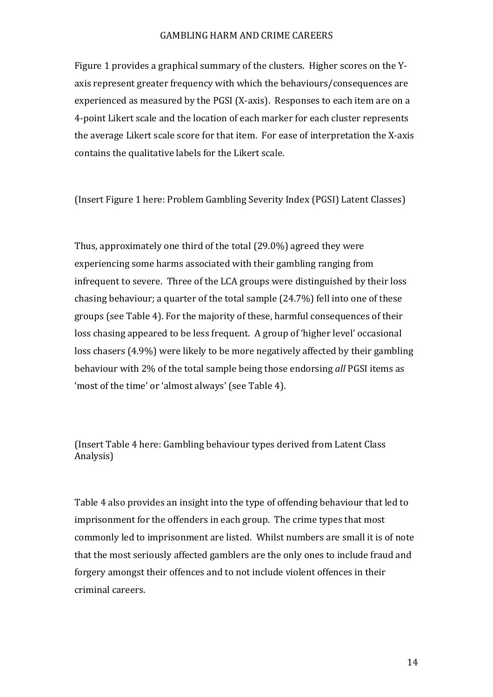Figure 1 provides a graphical summary of the clusters. Higher scores on the Yaxis represent greater frequency with which the behaviours/consequences are experienced as measured by the PGSI (X-axis). Responses to each item are on a 4-point Likert scale and the location of each marker for each cluster represents the average Likert scale score for that item. For ease of interpretation the X-axis contains the qualitative labels for the Likert scale.

(Insert Figure 1 here: Problem Gambling Severity Index (PGSI) Latent Classes)

Thus, approximately one third of the total (29.0%) agreed they were experiencing some harms associated with their gambling ranging from infrequent to severe. Three of the LCA groups were distinguished by their loss chasing behaviour; a quarter of the total sample (24.7%) fell into one of these groups (see Table 4). For the majority of these, harmful consequences of their loss chasing appeared to be less frequent. A group of 'higher level' occasional loss chasers (4.9%) were likely to be more negatively affected by their gambling behaviour with 2% of the total sample being those endorsing *all* PGSI items as 'most of the time' or 'almost always' (see Table 4).

(Insert Table 4 here: Gambling behaviour types derived from Latent Class Analysis)

Table 4 also provides an insight into the type of offending behaviour that led to imprisonment for the offenders in each group. The crime types that most commonly led to imprisonment are listed. Whilst numbers are small it is of note that the most seriously affected gamblers are the only ones to include fraud and forgery amongst their offences and to not include violent offences in their criminal careers.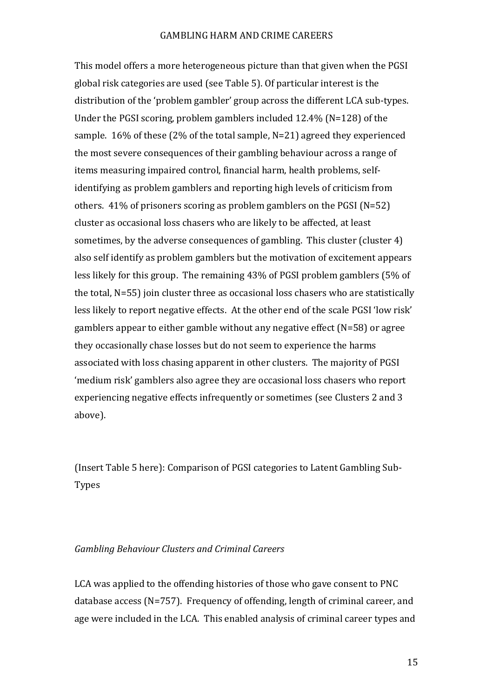This model offers a more heterogeneous picture than that given when the PGSI global risk categories are used (see Table 5). Of particular interest is the distribution of the 'problem gambler' group across the different LCA sub-types. Under the PGSI scoring, problem gamblers included 12.4% (N=128) of the sample. 16% of these (2% of the total sample, N=21) agreed they experienced the most severe consequences of their gambling behaviour across a range of items measuring impaired control, financial harm, health problems, selfidentifying as problem gamblers and reporting high levels of criticism from others. 41% of prisoners scoring as problem gamblers on the PGSI (N=52) cluster as occasional loss chasers who are likely to be affected, at least sometimes, by the adverse consequences of gambling. This cluster (cluster 4) also self identify as problem gamblers but the motivation of excitement appears less likely for this group. The remaining 43% of PGSI problem gamblers (5% of the total, N=55) join cluster three as occasional loss chasers who are statistically less likely to report negative effects. At the other end of the scale PGSI 'low risk' gamblers appear to either gamble without any negative effect (N=58) or agree they occasionally chase losses but do not seem to experience the harms associated with loss chasing apparent in other clusters. The majority of PGSI 'medium risk' gamblers also agree they are occasional loss chasers who report experiencing negative effects infrequently or sometimes (see Clusters 2 and 3 above).

(Insert Table 5 here): Comparison of PGSI categories to Latent Gambling Sub-Types

# *Gambling Behaviour Clusters and Criminal Careers*

LCA was applied to the offending histories of those who gave consent to PNC database access (N=757). Frequency of offending, length of criminal career, and age were included in the LCA. This enabled analysis of criminal career types and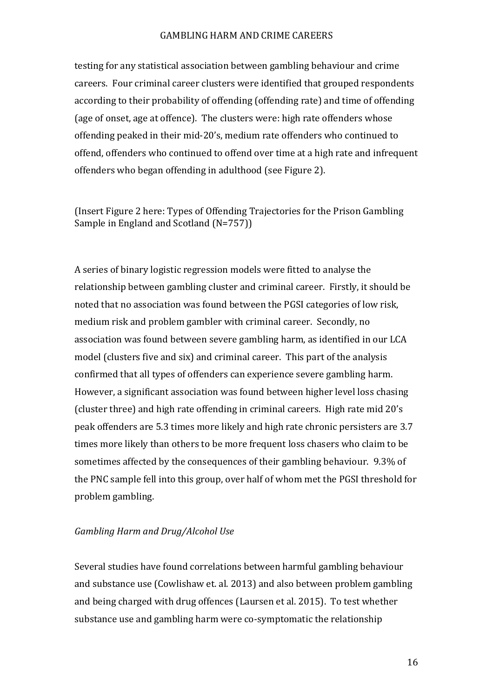testing for any statistical association between gambling behaviour and crime careers. Four criminal career clusters were identified that grouped respondents according to their probability of offending (offending rate) and time of offending (age of onset, age at offence). The clusters were: high rate offenders whose offending peaked in their mid-20's, medium rate offenders who continued to offend, offenders who continued to offend over time at a high rate and infrequent offenders who began offending in adulthood (see Figure 2).

(Insert Figure 2 here: Types of Offending Trajectories for the Prison Gambling Sample in England and Scotland (N=757))

A series of binary logistic regression models were fitted to analyse the relationship between gambling cluster and criminal career. Firstly, it should be noted that no association was found between the PGSI categories of low risk, medium risk and problem gambler with criminal career. Secondly, no association was found between severe gambling harm, as identified in our LCA model (clusters five and six) and criminal career. This part of the analysis confirmed that all types of offenders can experience severe gambling harm. However, a significant association was found between higher level loss chasing (cluster three) and high rate offending in criminal careers. High rate mid 20's peak offenders are 5.3 times more likely and high rate chronic persisters are 3.7 times more likely than others to be more frequent loss chasers who claim to be sometimes affected by the consequences of their gambling behaviour. 9.3% of the PNC sample fell into this group, over half of whom met the PGSI threshold for problem gambling.

## *Gambling Harm and Drug/Alcohol Use*

Several studies have found correlations between harmful gambling behaviour and substance use (Cowlishaw et. al. 2013) and also between problem gambling and being charged with drug offences (Laursen et al. 2015). To test whether substance use and gambling harm were co-symptomatic the relationship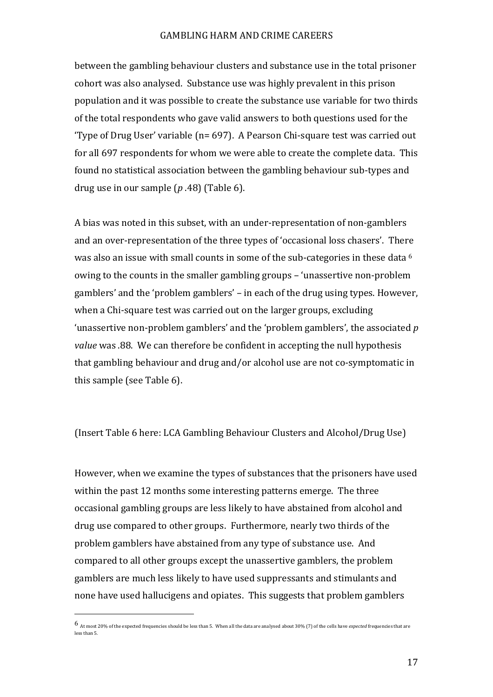between the gambling behaviour clusters and substance use in the total prisoner cohort was also analysed. Substance use was highly prevalent in this prison population and it was possible to create the substance use variable for two thirds of the total respondents who gave valid answers to both questions used for the 'Type of Drug User' variable (n= 697). A Pearson Chi-square test was carried out for all 697 respondents for whom we were able to create the complete data. This found no statistical association between the gambling behaviour sub-types and drug use in our sample (*p* .48) (Table 6).

A bias was noted in this subset, with an under-representation of non-gamblers and an over-representation of the three types of 'occasional loss chasers'. There was also an issue with small counts in some of the sub-categories in these data <sup>6</sup> owing to the counts in the smaller gambling groups – 'unassertive non-problem gamblers' and the 'problem gamblers' – in each of the drug using types. However, when a Chi-square test was carried out on the larger groups, excluding 'unassertive non-problem gamblers' and the 'problem gamblers', the associated *p value* was .88. We can therefore be confident in accepting the null hypothesis that gambling behaviour and drug and/or alcohol use are not co-symptomatic in this sample (see Table 6).

## (Insert Table 6 here: LCA Gambling Behaviour Clusters and Alcohol/Drug Use)

However, when we examine the types of substances that the prisoners have used within the past 12 months some interesting patterns emerge. The three occasional gambling groups are less likely to have abstained from alcohol and drug use compared to other groups. Furthermore, nearly two thirds of the problem gamblers have abstained from any type of substance use. And compared to all other groups except the unassertive gamblers, the problem gamblers are much less likely to have used suppressants and stimulants and none have used hallucigens and opiates. This suggests that problem gamblers

 $\overline{a}$ 

<sup>6</sup> At most 20% of the expected frequencies should be less than 5. When all the data are analysed about 30% (7) of the cells have *expected* frequencies that are less than 5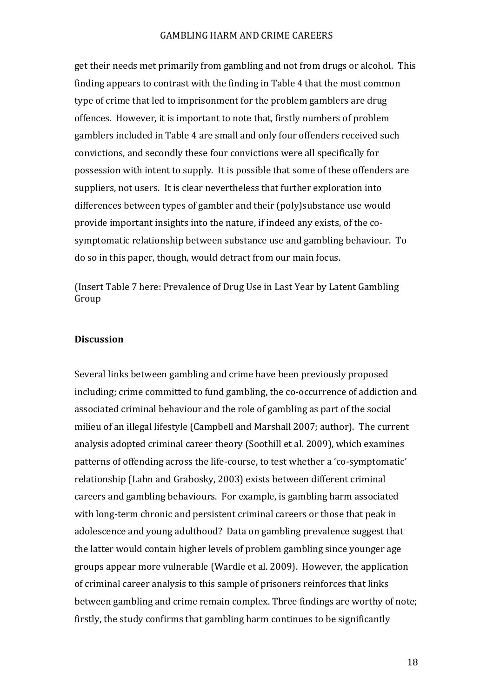get their needs met primarily from gambling and not from drugs or alcohol. This finding appears to contrast with the finding in Table 4 that the most common type of crime that led to imprisonment for the problem gamblers are drug offences. However, it is important to note that, firstly numbers of problem gamblers included in Table 4 are small and only four offenders received such convictions, and secondly these four convictions were all specifically for possession with intent to supply. It is possible that some of these offenders are suppliers, not users. It is clear nevertheless that further exploration into differences between types of gambler and their (poly)substance use would provide important insights into the nature, if indeed any exists, of the cosymptomatic relationship between substance use and gambling behaviour. To do so in this paper, though, would detract from our main focus.

(Insert Table 7 here: Prevalence of Drug Use in Last Year by Latent Gambling Group

## **Discussion**

Several links between gambling and crime have been previously proposed including; crime committed to fund gambling, the co-occurrence of addiction and associated criminal behaviour and the role of gambling as part of the social milieu of an illegal lifestyle (Campbell and Marshall 2007; author). The current analysis adopted criminal career theory (Soothill et al. 2009), which examines patterns of offending across the life-course, to test whether a 'co-symptomatic' relationship (Lahn and Grabosky, 2003) exists between different criminal careers and gambling behaviours. For example, is gambling harm associated with long-term chronic and persistent criminal careers or those that peak in adolescence and young adulthood? Data on gambling prevalence suggest that the latter would contain higher levels of problem gambling since younger age groups appear more vulnerable (Wardle et al. 2009). However, the application of criminal career analysis to this sample of prisoners reinforces that links between gambling and crime remain complex. Three findings are worthy of note; firstly, the study confirms that gambling harm continues to be significantly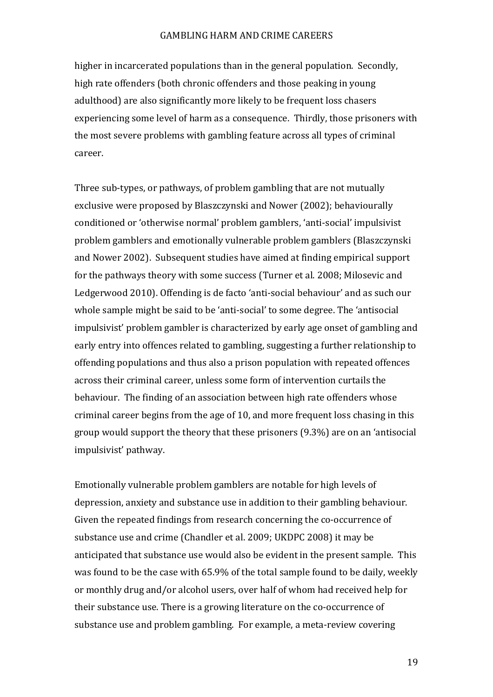higher in incarcerated populations than in the general population. Secondly, high rate offenders (both chronic offenders and those peaking in young adulthood) are also significantly more likely to be frequent loss chasers experiencing some level of harm as a consequence. Thirdly, those prisoners with the most severe problems with gambling feature across all types of criminal career.

Three sub-types, or pathways, of problem gambling that are not mutually exclusive were proposed by Blaszczynski and Nower (2002); behaviourally conditioned or 'otherwise normal' problem gamblers, 'anti-social' impulsivist problem gamblers and emotionally vulnerable problem gamblers (Blaszczynski and Nower 2002). Subsequent studies have aimed at finding empirical support for the pathways theory with some success (Turner et al. 2008; Milosevic and Ledgerwood 2010). Offending is de facto 'anti-social behaviour' and as such our whole sample might be said to be 'anti-social' to some degree. The 'antisocial impulsivist' problem gambler is characterized by early age onset of gambling and early entry into offences related to gambling, suggesting a further relationship to offending populations and thus also a prison population with repeated offences across their criminal career, unless some form of intervention curtails the behaviour. The finding of an association between high rate offenders whose criminal career begins from the age of 10, and more frequent loss chasing in this group would support the theory that these prisoners (9.3%) are on an 'antisocial impulsivist' pathway.

Emotionally vulnerable problem gamblers are notable for high levels of depression, anxiety and substance use in addition to their gambling behaviour. Given the repeated findings from research concerning the co-occurrence of substance use and crime (Chandler et al. 2009; UKDPC 2008) it may be anticipated that substance use would also be evident in the present sample. This was found to be the case with 65.9% of the total sample found to be daily, weekly or monthly drug and/or alcohol users, over half of whom had received help for their substance use. There is a growing literature on the co-occurrence of substance use and problem gambling. For example, a meta-review covering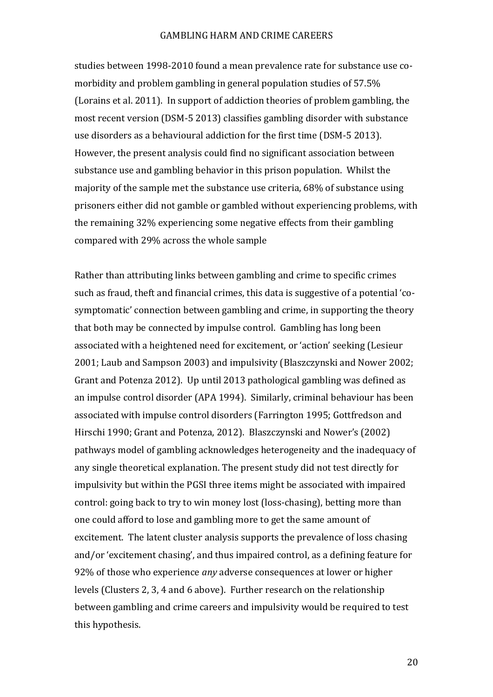studies between 1998-2010 found a mean prevalence rate for substance use comorbidity and problem gambling in general population studies of 57.5% (Lorains et al. 2011). In support of addiction theories of problem gambling, the most recent version (DSM-5 2013) classifies gambling disorder with substance use disorders as a behavioural addiction for the first time (DSM-5 2013). However, the present analysis could find no significant association between substance use and gambling behavior in this prison population. Whilst the majority of the sample met the substance use criteria, 68% of substance using prisoners either did not gamble or gambled without experiencing problems, with the remaining 32% experiencing some negative effects from their gambling compared with 29% across the whole sample

Rather than attributing links between gambling and crime to specific crimes such as fraud, theft and financial crimes, this data is suggestive of a potential 'cosymptomatic' connection between gambling and crime, in supporting the theory that both may be connected by impulse control. Gambling has long been associated with a heightened need for excitement, or 'action' seeking (Lesieur 2001; Laub and Sampson 2003) and impulsivity (Blaszczynski and Nower 2002; Grant and Potenza 2012). Up until 2013 pathological gambling was defined as an impulse control disorder (APA 1994). Similarly, criminal behaviour has been associated with impulse control disorders (Farrington 1995; Gottfredson and Hirschi 1990; Grant and Potenza, 2012). Blaszczynski and Nower's (2002) pathways model of gambling acknowledges heterogeneity and the inadequacy of any single theoretical explanation. The present study did not test directly for impulsivity but within the PGSI three items might be associated with impaired control: going back to try to win money lost (loss-chasing), betting more than one could afford to lose and gambling more to get the same amount of excitement. The latent cluster analysis supports the prevalence of loss chasing and/or 'excitement chasing', and thus impaired control, as a defining feature for 92% of those who experience *any* adverse consequences at lower or higher levels (Clusters 2, 3, 4 and 6 above). Further research on the relationship between gambling and crime careers and impulsivity would be required to test this hypothesis.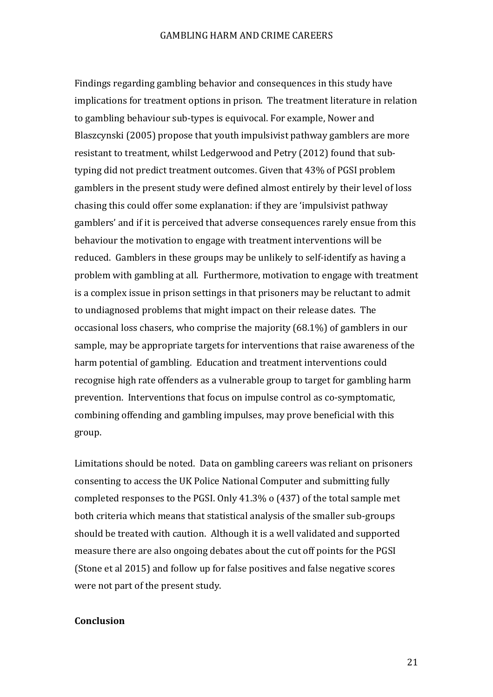Findings regarding gambling behavior and consequences in this study have implications for treatment options in prison. The treatment literature in relation to gambling behaviour sub-types is equivocal. For example, Nower and Blaszcynski (2005) propose that youth impulsivist pathway gamblers are more resistant to treatment, whilst Ledgerwood and Petry (2012) found that subtyping did not predict treatment outcomes. Given that 43% of PGSI problem gamblers in the present study were defined almost entirely by their level of loss chasing this could offer some explanation: if they are 'impulsivist pathway gamblers' and if it is perceived that adverse consequences rarely ensue from this behaviour the motivation to engage with treatment interventions will be reduced. Gamblers in these groups may be unlikely to self-identify as having a problem with gambling at all. Furthermore, motivation to engage with treatment is a complex issue in prison settings in that prisoners may be reluctant to admit to undiagnosed problems that might impact on their release dates. The occasional loss chasers, who comprise the majority (68.1%) of gamblers in our sample, may be appropriate targets for interventions that raise awareness of the harm potential of gambling. Education and treatment interventions could recognise high rate offenders as a vulnerable group to target for gambling harm prevention. Interventions that focus on impulse control as co-symptomatic, combining offending and gambling impulses, may prove beneficial with this group.

Limitations should be noted. Data on gambling careers was reliant on prisoners consenting to access the UK Police National Computer and submitting fully completed responses to the PGSI. Only 41.3% o (437) of the total sample met both criteria which means that statistical analysis of the smaller sub-groups should be treated with caution. Although it is a well validated and supported measure there are also ongoing debates about the cut off points for the PGSI (Stone et al 2015) and follow up for false positives and false negative scores were not part of the present study.

### **Conclusion**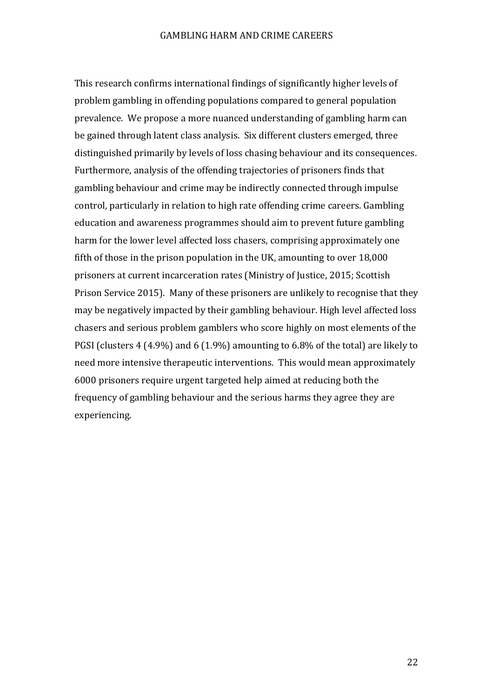This research confirms international findings of significantly higher levels of problem gambling in offending populations compared to general population prevalence. We propose a more nuanced understanding of gambling harm can be gained through latent class analysis. Six different clusters emerged, three distinguished primarily by levels of loss chasing behaviour and its consequences. Furthermore, analysis of the offending trajectories of prisoners finds that gambling behaviour and crime may be indirectly connected through impulse control, particularly in relation to high rate offending crime careers. Gambling education and awareness programmes should aim to prevent future gambling harm for the lower level affected loss chasers, comprising approximately one fifth of those in the prison population in the UK, amounting to over 18,000 prisoners at current incarceration rates (Ministry of Justice, 2015; Scottish Prison Service 2015). Many of these prisoners are unlikely to recognise that they may be negatively impacted by their gambling behaviour. High level affected loss chasers and serious problem gamblers who score highly on most elements of the PGSI (clusters 4 (4.9%) and 6 (1.9%) amounting to 6.8% of the total) are likely to need more intensive therapeutic interventions. This would mean approximately 6000 prisoners require urgent targeted help aimed at reducing both the frequency of gambling behaviour and the serious harms they agree they are experiencing.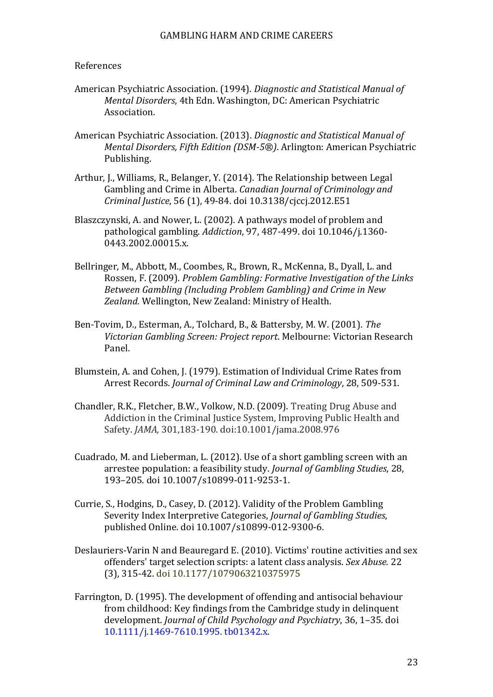## References

- American Psychiatric Association. (1994). *Diagnostic and Statistical Manual of Mental Disorders*, 4th Edn. Washington, DC: American Psychiatric Association.
- American Psychiatric Association. (2013). *Diagnostic and Statistical Manual of Mental Disorders, Fifth Edition (DSM-5®)*. Arlington: American Psychiatric Publishing.
- Arthur, J., Williams, R., Belanger, Y. (2014). The Relationship between Legal Gambling and Crime in Alberta. *Canadian Journal of Criminology and Criminal Justice*, 56 (1), 49-84. doi 10.3138/cjccj.2012.E51
- Blaszczynski, A. and Nower, L. (2002). A pathways model of problem and pathological gambling. *Addiction*, 97, 487-499. doi 10.1046/j.1360- 0443.2002.00015.x.
- Bellringer, M., Abbott, M., Coombes, R., Brown, R., McKenna, B., Dyall, L. and Rossen, F. (2009). *Problem Gambling: Formative Investigation of the Links Between Gambling (Including Problem Gambling) and Crime in New Zealand.* Wellington, New Zealand: Ministry of Health.
- Ben-Tovim, D., Esterman, A., Tolchard, B., & Battersby, M. W. (2001). *The Victorian Gambling Screen: Project report*. Melbourne: Victorian Research Panel.
- Blumstein, A. and Cohen, J. (1979). Estimation of Individual Crime Rates from Arrest Records. *Journal of Criminal Law and Criminology*, 28, 509-531.
- Chandler, R.K., Fletcher, B.W., Volkow, N.D. (2009). Treating Drug Abuse and Addiction in the Criminal Justice System, Improving Public Health and Safety. *JAMA,* 301,183-190. doi:10.1001/jama.2008.976
- Cuadrado, M. and Lieberman, L. (2012). Use of a short gambling screen with an arrestee population: a feasibility study. *Journal of Gambling Studies*, 28, 193–205. doi 10.1007/s10899-011-9253-1.
- Currie, S., Hodgins, D., Casey, D. (2012). Validity of the Problem Gambling Severity Index Interpretive Categories, *Journal of Gambling Studies*, published Online. doi 10.1007/s10899-012-9300-6.
- [Deslauriers-Varin N](http://www.ncbi.nlm.nih.gov/pubmed?term=Deslauriers-Varin%20N%5BAuthor%5D&cauthor=true&cauthor_uid=20713749) and [Beauregard E.](http://www.ncbi.nlm.nih.gov/pubmed?term=Beauregard%20E%5BAuthor%5D&cauthor=true&cauthor_uid=20713749) (2010). Victims' routine activities and sex offenders' target selection scripts: a latent class analysis. *[Sex Abuse.](http://www.ncbi.nlm.nih.gov/pubmed/20713749)* 22 (3), 315-42. doi 10.1177/1079063210375975
- Farrington, D. (1995). The development of offending and antisocial behaviour from childhood: Key findings from the Cambridge study in delinquent development. *Journal of Child Psychology and Psychiatry*, 36, 1–35. doi 10.1111/j.1469-7610.1995. tb01342.x.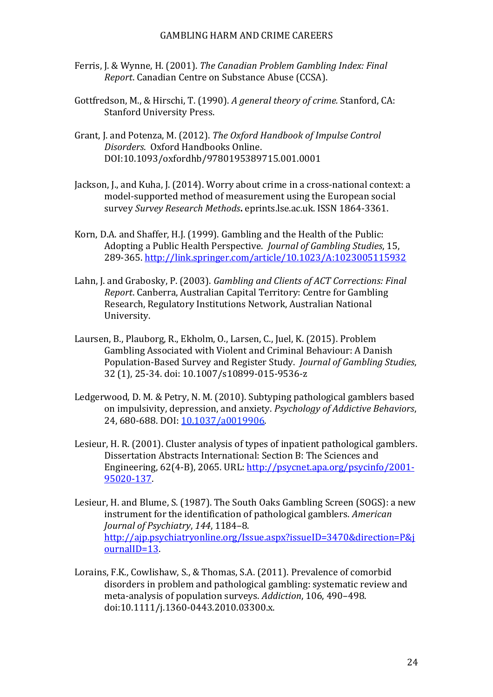- Ferris, J. & Wynne, H. (2001). *The Canadian Problem Gambling Index: Final Report*. Canadian Centre on Substance Abuse (CCSA).
- Gottfredson, M., & Hirschi, T. (1990). *A general theory of crime.* Stanford, CA: Stanford University Press.
- Grant, J. and Potenza, M. (2012). *The Oxford Handbook of Impulse Control Disorders*. Oxford Handbooks Online. DOI:10.1093/oxfordhb/9780195389715.001.0001
- Jackson, J., and Kuha, J. (2014). Worry about crime in a cross-national context: a model-supported method of measurement using the European social survey *Survey Research Methods***.** eprints.lse.ac.uk. ISSN 1864-3361.
- Korn, D.A. and Shaffer, H.J. (1999). Gambling and the Health of the Public: Adopting a Public Health Perspective. *Journal of Gambling Studies*, 15, 289-365.<http://link.springer.com/article/10.1023/A:1023005115932>
- Lahn, J. and Grabosky, P. (2003). *Gambling and Clients of ACT Corrections: Final Report*. Canberra, Australian Capital Territory: Centre for Gambling Research, Regulatory Institutions Network, Australian National University.
- Laursen, B., Plauborg, R., Ekholm, O., Larsen, C., Juel, K. (2015). Problem Gambling Associated with Violent and Criminal Behaviour: A Danish Population-Based Survey and Register Study. *Journal of Gambling Studies*, 32 (1), 25-34. doi: 10.1007/s10899-015-9536-z
- Ledgerwood, D. M. & Petry, N. M. (2010). Subtyping pathological gamblers based on impulsivity, depression, and anxiety. *Psychology of Addictive Behaviors*, 24, 680-688. DOI: [10.1037/a0019906.](http://psycnet.apa.org/doi/10.1037/a0019906)
- Lesieur, H. R. (2001). Cluster analysis of types of inpatient pathological gamblers. Dissertation Abstracts International: Section B: The Sciences and Engineering, 62(4-B), 2065. URL: [http://psycnet.apa.org/psycinfo/2001-](http://psycnet.apa.org/psycinfo/2001-95020-137) [95020-137.](http://psycnet.apa.org/psycinfo/2001-95020-137)
- Lesieur, H. and Blume, S. (1987). The South Oaks Gambling Screen (SOGS): a new instrument for the identification of pathological gamblers. *American Journal of Psychiatry*, *144*, 1184–8. [http://ajp.psychiatryonline.org/Issue.aspx?issueID=3470&direction=P&j](http://ajp.psychiatryonline.org/Issue.aspx?issueID=3470&direction=P&journalID=13) ournalID=13.
- Lorains, F.K., Cowlishaw, S., & Thomas, S.A. (2011). Prevalence of comorbid disorders in problem and pathological gambling: systematic review and meta-analysis of population surveys. *Addiction*, 106, 490–498. doi:10.1111/j.1360-0443.2010.03300.x.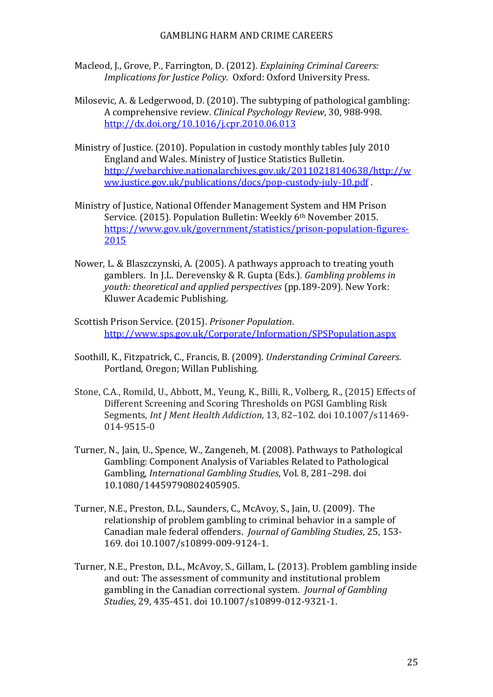- Macleod, J., Grove, P., Farrington, D. (2012). *Explaining Criminal Careers: Implications for Justice Policy*. Oxford: Oxford University Press.
- Milosevic, A. & Ledgerwood, D. (2010). The subtyping of pathological gambling: A comprehensive review. *Clinical Psychology Review*, 30, 988-998. <http://dx.doi.org/10.1016/j.cpr.2010.06.013>
- Ministry of Justice. (2010). Population in custody monthly tables July 2010 England and Wales. Ministry of Justice Statistics Bulletin. [http://webarchive.nationalarchives.gov.uk/20110218140638/http://w](http://webarchive.nationalarchives.gov.uk/20110218140638/http:/www.justice.gov.uk/publications/docs/pop-custody-july-10.pdf) [ww.justice.gov.uk/publications/docs/pop-custody-july-10.pdf](http://webarchive.nationalarchives.gov.uk/20110218140638/http:/www.justice.gov.uk/publications/docs/pop-custody-july-10.pdf) .
- Ministry of Justice, National Offender Management System and HM Prison Service. (2015). Population Bulletin: Weekly 6<sup>th</sup> November 2015. [https://www.gov.uk/government/statistics/prison-population-figures-](https://www.gov.uk/government/statistics/prison-population-figures-2015)[2015](https://www.gov.uk/government/statistics/prison-population-figures-2015)
- Nower, L. & Blaszczynski, A. (2005). A pathways approach to treating youth gamblers. In J.L. Derevensky & R. Gupta (Eds.). *Gambling problems in youth: theoretical and applied perspectives* (pp.189-209). New York: Kluwer Academic Publishing.
- Scottish Prison Service. (2015). *Prisoner Population*. <http://www.sps.gov.uk/Corporate/Information/SPSPopulation.aspx>
- Soothill, K., Fitzpatrick, C., Francis, B. (2009). *Understanding Criminal Careers*. Portland, Oregon; Willan Publishing.
- Stone, C.A., Romild, U., Abbott, M., Yeung, K., Billi, R., Volberg, R., (2015) Effects of Different Screening and Scoring Thresholds on PGSI Gambling Risk Segments, *Int J Ment Health Addiction,* 13, 82–102. doi 10.1007/s11469- 014-9515-0
- Turner, N., Jain, U., Spence, W., Zangeneh, M. (2008). Pathways to Pathological Gambling: Component Analysis of Variables Related to Pathological Gambling, *International Gambling Studies*, Vol. 8, 281–298. doi 10.1080/14459790802405905.
- Turner, N.E., Preston, D.L., Saunders, C., McAvoy, S., Jain, U. (2009). The relationship of problem gambling to criminal behavior in a sample of Canadian male federal offenders. *Journal of Gambling Studies*, 25, 153- 169. doi 10.1007/s10899-009-9124-1.
- Turner, N.E., Preston, D.L., McAvoy, S., Gillam, L. (2013). Problem gambling inside and out: The assessment of community and institutional problem gambling in the Canadian correctional system. *Journal of Gambling Studies*, 29, 435-451. doi 10.1007/s10899-012-9321-1.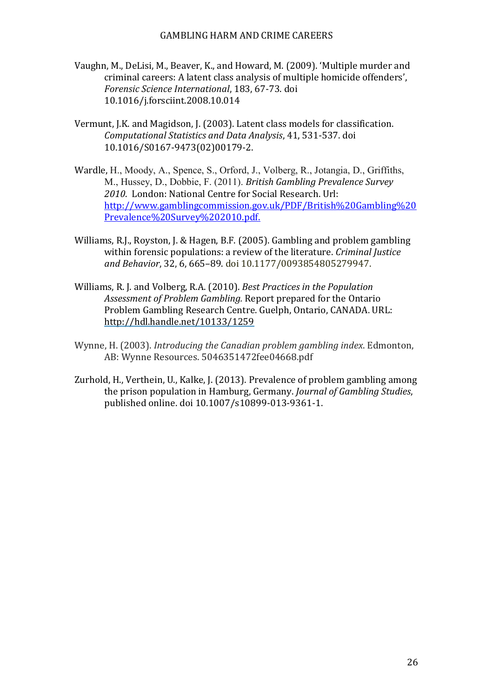- Vaughn, M., DeLisi, M., Beaver, K., and Howard, M. (2009). 'Multiple murder and criminal careers: A latent class analysis of multiple homicide offenders', *Forensic Science International*, 183, 67-73. doi 10.1016/j.forsciint.2008.10.014
- Vermunt, J.K. and Magidson, J. (2003). Latent class models for classification. *Computational Statistics and Data Analysis*, 41, 531-537. doi 10.1016/S0167-9473(02)00179-2.
- Wardle, H., Moody, A., Spence, S., Orford, J., Volberg, R., Jotangia, D., Griffiths, M., Hussey, D., Dobbie, F. (2011). *British Gambling Prevalence Survey 2010*. London: National Centre for Social Research. Url: [http://www.gamblingcommission.gov.uk/PDF/British%20Gambling%20](http://www.gamblingcommission.gov.uk/PDF/British%20Gambling%20Prevalence%20Survey%202010.pdf) [Prevalence%20Survey%202010.pdf.](http://www.gamblingcommission.gov.uk/PDF/British%20Gambling%20Prevalence%20Survey%202010.pdf)
- Williams, R.J., Royston, J. & Hagen, B.F. (2005). Gambling and problem gambling within forensic populations: a review of the literature. *Criminal Justice and Behavior*, 32, 6, 665–89. doi 10.1177/0093854805279947.
- Williams, R. J. and Volberg, R.A. (2010). *Best Practices in the Population Assessment of Problem Gambling.* Report prepared for the Ontario Problem Gambling Research Centre. Guelph, Ontario, CANADA. URL: <http://hdl.handle.net/10133/1259>
- Wynne, H. (2003). *Introducing the Canadian problem gambling index*. Edmonton, AB: Wynne Resources. 5046351472fee04668.pdf
- Zurhold, H., Verthein, U., Kalke, J. (2013). Prevalence of problem gambling among the prison population in Hamburg, Germany. *Journal of Gambling Studies*, published online. doi 10.1007/s10899-013-9361-1.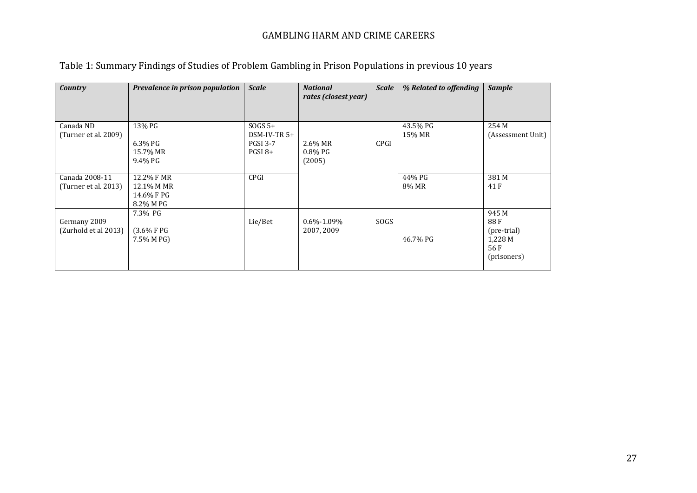| Country                                | Prevalence in prison population                     | <b>Scale</b>                                                | <b>National</b><br>rates (closest year) | <b>Scale</b> | % Related to offending | <b>Sample</b>                                                  |
|----------------------------------------|-----------------------------------------------------|-------------------------------------------------------------|-----------------------------------------|--------------|------------------------|----------------------------------------------------------------|
| Canada ND<br>(Turner et al. 2009)      | 13% PG<br>6.3% PG<br>15.7% MR<br>9.4% PG            | $SOGS 5+$<br>$DSM-IV-TR 5+$<br><b>PGSI 3-7</b><br>$PGSI 8+$ | 2.6% MR<br>$0.8\%$ PG<br>(2005)         | <b>CPGI</b>  | 43.5% PG<br>15% MR     | 254 M<br>(Assessment Unit)                                     |
| Canada 2008-11<br>(Turner et al. 2013) | 12.2% F MR<br>12.1% M MR<br>14.6% F PG<br>8.2% M PG | <b>CPGI</b>                                                 |                                         |              | 44% PG<br>8% MR        | 381 M<br>41 F                                                  |
| Germany 2009<br>(Zurhold et al 2013)   | 7.3% PG<br>(3.6% F PG<br>7.5% M PG)                 | Lie/Bet                                                     | $0.6\% - 1.09\%$<br>2007, 2009          | SOGS         | 46.7% PG               | 945 M<br>88 F<br>(pre-trial)<br>1,228 M<br>56 F<br>(prisoners) |

# Table 1: Summary Findings of Studies of Problem Gambling in Prison Populations in previous 10 years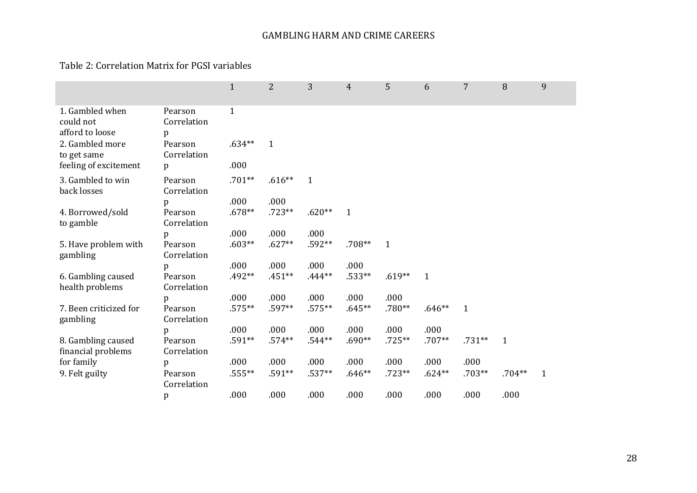# Table 2: Correlation Matrix for PGSI variables

|                                                         |                             | $\mathbf{1}$      | $\overline{2}$   | 3                | $\overline{4}$   | 5                | 6                | $\overline{7}$   | 8            | 9 |
|---------------------------------------------------------|-----------------------------|-------------------|------------------|------------------|------------------|------------------|------------------|------------------|--------------|---|
| 1. Gambled when<br>could not<br>afford to loose         | Pearson<br>Correlation<br>p | $\mathbf{1}$      |                  |                  |                  |                  |                  |                  |              |   |
| 2. Gambled more<br>to get same<br>feeling of excitement | Pearson<br>Correlation<br>p | $.634**$<br>.000  | $\mathbf{1}$     |                  |                  |                  |                  |                  |              |   |
| 3. Gambled to win<br>back losses                        | Pearson<br>Correlation      | $.701**$          | $.616**$         | $\mathbf{1}$     |                  |                  |                  |                  |              |   |
| 4. Borrowed/sold<br>to gamble                           | p<br>Pearson<br>Correlation | .000<br>$.678**$  | .000<br>$.723**$ | $.620**$         | $\mathbf{1}$     |                  |                  |                  |              |   |
| 5. Have problem with<br>gambling                        | p<br>Pearson<br>Correlation | .000<br>$.603**$  | .000<br>$.627**$ | .000<br>.592**   | $.708**$         | $\mathbf{1}$     |                  |                  |              |   |
| 6. Gambling caused<br>health problems                   | p<br>Pearson<br>Correlation | .000<br>.492**    | .000<br>$.451**$ | .000<br>$.444**$ | .000<br>$.533**$ | $.619**$         | $\mathbf{1}$     |                  |              |   |
| 7. Been criticized for<br>gambling                      | p<br>Pearson<br>Correlation | .000<br>$.575**$  | .000<br>.597**   | .000<br>$.575**$ | .000<br>$.645**$ | .000<br>.780**   | $.646**$         | $\mathbf{1}$     |              |   |
| 8. Gambling caused<br>financial problems                | p<br>Pearson<br>Correlation | .000<br>.591**    | .000<br>$.574**$ | .000<br>$.544**$ | .000<br>$.690**$ | .000<br>$.725**$ | .000<br>$.707**$ | $.731**$         | $\mathbf{1}$ |   |
| for family<br>9. Felt guilty                            | p<br>Pearson<br>Correlation | .000<br>$.555***$ | .000<br>$.591**$ | .000<br>.537**   | .000<br>$.646**$ | .000<br>$.723**$ | .000<br>$.624**$ | .000<br>$.703**$ | $.704**$     | 1 |
|                                                         | p                           | .000              | .000             | .000             | .000             | .000             | .000             | .000             | .000         |   |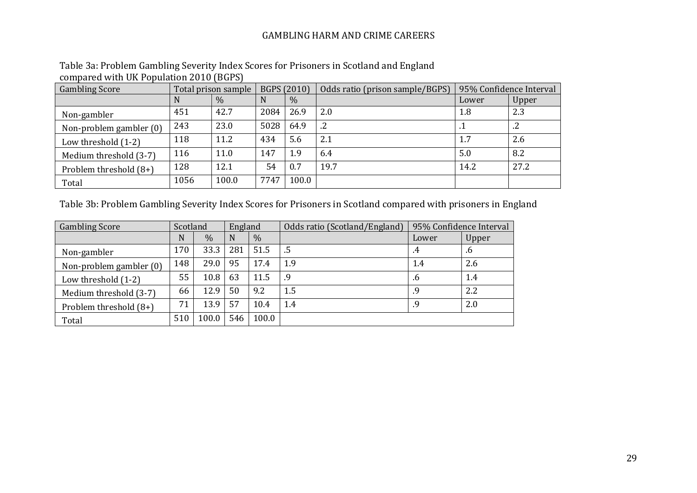| <b>Gambling Score</b>   |      | Total prison sample | BGPS (2010) |       | Odds ratio (prison sample/BGPS) | 95% Confidence Interval |            |
|-------------------------|------|---------------------|-------------|-------|---------------------------------|-------------------------|------------|
|                         |      | $\%$                | N           | $\%$  |                                 | Lower                   | Upper      |
| Non-gambler             | 451  | 42.7                | 2084        | 26.9  | 2.0                             | 1.8                     | 2.3        |
| Non-problem gambler (0) | 243  | 23.0                | 5028        | 64.9  | $\cdot$ .2                      | ۰.                      | $\cdot$ .2 |
| Low threshold (1-2)     | 118  | 11.2                | 434         | 5.6   | 2.1                             | 1.7                     | 2.6        |
| Medium threshold (3-7)  | 116  | 11.0                | 147         | 1.9   | 6.4                             | 5.0                     | 8.2        |
| Problem threshold (8+)  | 128  | 12.1                | 54          | 0.7   | 19.7                            | 14.2                    | 27.2       |
| Total                   | 1056 | 100.0               | 7747        | 100.0 |                                 |                         |            |

# Table 3a: Problem Gambling Severity Index Scores for Prisoners in Scotland and England compared with UK Population 2010 (BGPS)

Table 3b: Problem Gambling Severity Index Scores for Prisoners in Scotland compared with prisoners in England

| <b>Gambling Score</b><br>Scotland |     |       | England |       | Odds ratio (Scotland/England) | 95% Confidence Interval |       |
|-----------------------------------|-----|-------|---------|-------|-------------------------------|-------------------------|-------|
|                                   | N   | $\%$  | N       | $\%$  |                               | Lower                   | Upper |
| Non-gambler                       | 170 | 33.3  | 281     | 51.5  | .5                            | .4                      | .6    |
| Non-problem gambler (0)           | 148 | 29.0  | 95      | 17.4  | 1.9                           | 1.4                     | 2.6   |
| Low threshold (1-2)               | 55  | 10.8  | 63      | 11.5  | .9                            | $\cdot 6$               | 1.4   |
| Medium threshold (3-7)            | 66  | 12.9  | 50      | 9.2   | 1.5                           | .9                      | 2.2   |
| Problem threshold (8+)            | 71  | 13.9  | 57      | 10.4  | 1.4                           | .9                      | 2.0   |
| Total                             | 510 | 100.0 | 546     | 100.0 |                               |                         |       |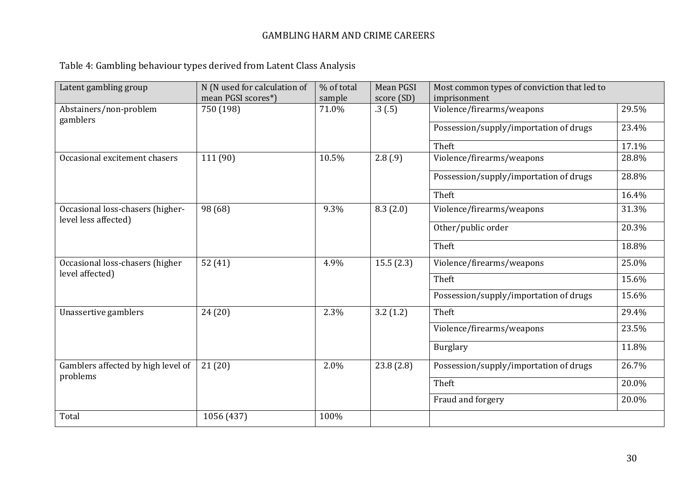| Latent gambling group                                    | N (N used for calculation of<br>mean PGSI scores*) | % of total<br>sample | Mean PGSI<br>score (SD) | Most common types of conviction that led to<br>imprisonment |       |  |
|----------------------------------------------------------|----------------------------------------------------|----------------------|-------------------------|-------------------------------------------------------------|-------|--|
| Abstainers/non-problem<br>gamblers                       | 750 (198)                                          | 71.0%                | .3(.5)                  | Violence/firearms/weapons                                   | 29.5% |  |
|                                                          |                                                    |                      |                         | Possession/supply/importation of drugs                      | 23.4% |  |
|                                                          |                                                    |                      |                         | Theft                                                       | 17.1% |  |
| Occasional excitement chasers                            | 111 (90)                                           | 10.5%                | 2.8(.9)                 | Violence/firearms/weapons                                   | 28.8% |  |
|                                                          |                                                    |                      |                         | Possession/supply/importation of drugs                      | 28.8% |  |
|                                                          |                                                    |                      |                         | Theft                                                       | 16.4% |  |
| Occasional loss-chasers (higher-<br>level less affected) | 98 (68)                                            | 9.3%                 | 8.3(2.0)                | Violence/firearms/weapons                                   | 31.3% |  |
|                                                          |                                                    |                      |                         | Other/public order                                          | 20.3% |  |
|                                                          |                                                    |                      |                         | Theft                                                       | 18.8% |  |
| Occasional loss-chasers (higher<br>level affected)       | 52(41)                                             | 4.9%                 | 15.5(2.3)               | Violence/firearms/weapons                                   | 25.0% |  |
|                                                          |                                                    |                      |                         | Theft                                                       | 15.6% |  |
|                                                          |                                                    |                      |                         | Possession/supply/importation of drugs                      | 15.6% |  |
| Unassertive gamblers                                     | 24 (20)                                            | 2.3%                 | 3.2(1.2)                | Theft                                                       | 29.4% |  |
|                                                          |                                                    |                      |                         | Violence/firearms/weapons                                   | 23.5% |  |
|                                                          |                                                    |                      |                         | Burglary                                                    | 11.8% |  |
| Gamblers affected by high level of<br>problems           | 21(20)                                             | 2.0%                 | 23.8(2.8)               | Possession/supply/importation of drugs                      | 26.7% |  |
|                                                          |                                                    |                      |                         | Theft                                                       | 20.0% |  |
|                                                          |                                                    |                      |                         | Fraud and forgery                                           | 20.0% |  |
| Total                                                    | 1056 (437)                                         | 100%                 |                         |                                                             |       |  |

# Table 4: Gambling behaviour types derived from Latent Class Analysis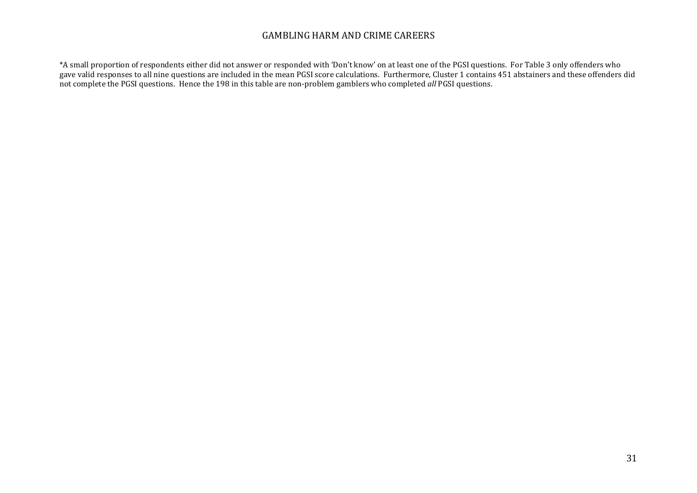\*A small proportion of respondents either did not answer or responded with 'Don't know' on at least one of the PGSI questions. For Table 3 only offenders who gave valid responses to all nine questions are included in the mean PGSI score calculations. Furthermore, Cluster 1 contains 451 abstainers and these offenders did not complete the PGSI questions. Hence the 198 in this table are non-problem gamblers who completed *all* PGSI questions.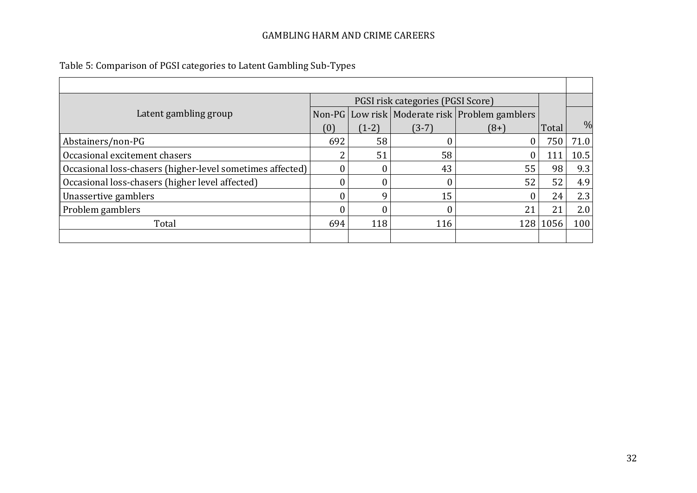|                                                           |     |         | PGSI risk categories (PGSI Score) |                                                |                                                      |               |
|-----------------------------------------------------------|-----|---------|-----------------------------------|------------------------------------------------|------------------------------------------------------|---------------|
| Latent gambling group                                     |     |         |                                   | Non-PG Low risk Moderate risk Problem gamblers |                                                      |               |
|                                                           | (0) | $(1-2)$ | $(3-7)$                           | $(8+)$                                         | Total<br>750<br>l 11<br>98<br>52<br>24<br>21<br>1056 | $\frac{0}{0}$ |
| Abstainers/non-PG                                         | 692 | 58      |                                   | 0                                              |                                                      | 71.0          |
| Occasional excitement chasers                             |     | 51      | 58                                | 0                                              |                                                      | 10.5          |
| Occasional loss-chasers (higher-level sometimes affected) |     |         | 43                                | 55                                             |                                                      | 9.3           |
| Occasional loss-chasers (higher level affected)           |     |         |                                   | 52                                             |                                                      | 4.9           |
| Unassertive gamblers                                      | 0   | a       | 15                                | 0                                              |                                                      | 2.3           |
| Problem gamblers                                          | 0   |         |                                   | 21                                             |                                                      | 2.0           |
| Total                                                     | 694 | 118     | 116                               | 128                                            |                                                      | 100           |
|                                                           |     |         |                                   |                                                |                                                      |               |

Table 5: Comparison of PGSI categories to Latent Gambling Sub-Types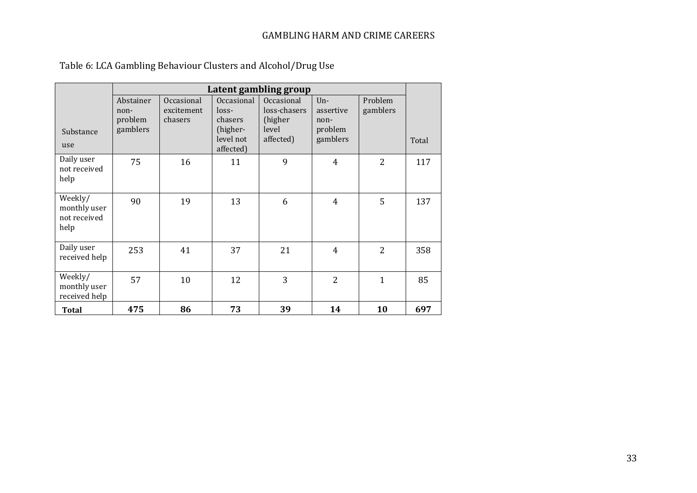|                                                 |                                          |                                     |                                                                  | Latent gambling group                                       |                                                   |                     |       |
|-------------------------------------------------|------------------------------------------|-------------------------------------|------------------------------------------------------------------|-------------------------------------------------------------|---------------------------------------------------|---------------------|-------|
| Substance                                       | Abstainer<br>non-<br>problem<br>gamblers | Occasional<br>excitement<br>chasers | <b>Occasional</b><br>$loss-$<br>chasers<br>(higher-<br>level not | Occasional<br>loss-chasers<br>(higher<br>level<br>affected) | $Un-$<br>assertive<br>non-<br>problem<br>gamblers | Problem<br>gamblers | Total |
| use                                             |                                          |                                     | affected)                                                        |                                                             |                                                   |                     |       |
| Daily user<br>not received<br>help              | 75                                       | 16                                  | 11                                                               | 9                                                           | $\overline{4}$                                    | $\overline{2}$      | 117   |
| Weekly/<br>monthly user<br>not received<br>help | 90                                       | 19                                  | 13                                                               | 6                                                           | $\overline{4}$                                    | 5                   | 137   |
| Daily user<br>received help                     | 253                                      | 41                                  | 37                                                               | 21                                                          | $\overline{4}$                                    | 2                   | 358   |
| Weekly/<br>monthly user<br>received help        | 57                                       | 10                                  | 12                                                               | 3                                                           | $\overline{2}$                                    | $\mathbf{1}$        | 85    |
| <b>Total</b>                                    | 475                                      | 86                                  | 73                                                               | 39                                                          | 14                                                | 10                  | 697   |

Table 6: LCA Gambling Behaviour Clusters and Alcohol/Drug Use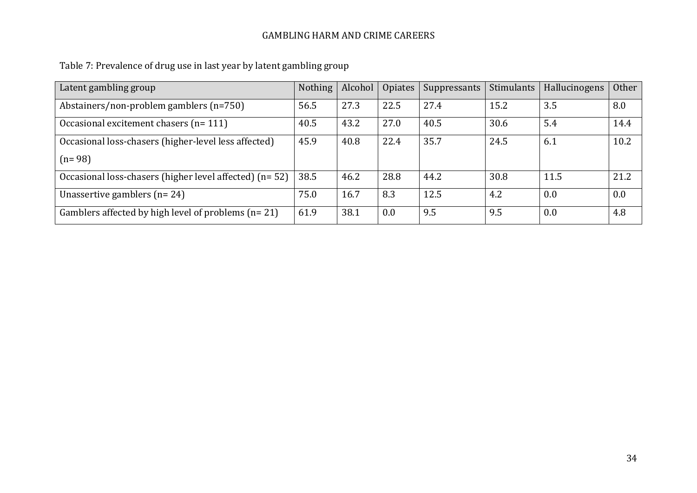| Latent gambling group                                   | <b>Nothing</b> | Alcohol | <b>Opiates</b> | Suppressants | Stimulants | Hallucinogens | Other |
|---------------------------------------------------------|----------------|---------|----------------|--------------|------------|---------------|-------|
| Abstainers/non-problem gamblers (n=750)                 | 56.5           | 27.3    | 22.5           | 27.4         | 15.2       | 3.5           | 8.0   |
| Occasional excitement chasers (n= 111)                  | 40.5           | 43.2    | 27.0           | 40.5         | 30.6       | 5.4           | 14.4  |
| Occasional loss-chasers (higher-level less affected)    | 45.9           | 40.8    | 22.4           | 35.7         | 24.5       | 6.1           | 10.2  |
| $(n = 98)$                                              |                |         |                |              |            |               |       |
| Occasional loss-chasers (higher level affected) (n= 52) | 38.5           | 46.2    | 28.8           | 44.2         | 30.8       | 11.5          | 21.2  |
| Unassertive gamblers $(n=24)$                           | 75.0           | 16.7    | 8.3            | 12.5         | 4.2        | 0.0           | 0.0   |
| Gamblers affected by high level of problems $(n=21)$    | 61.9           | 38.1    | 0.0            | 9.5          | 9.5        | 0.0           | 4.8   |

Table 7: Prevalence of drug use in last year by latent gambling group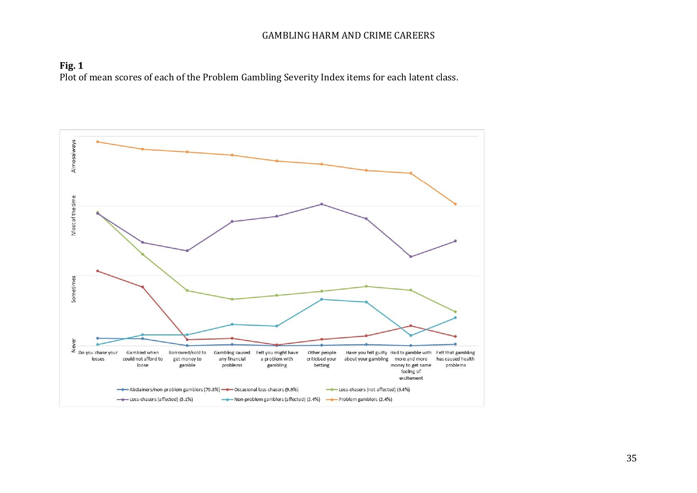